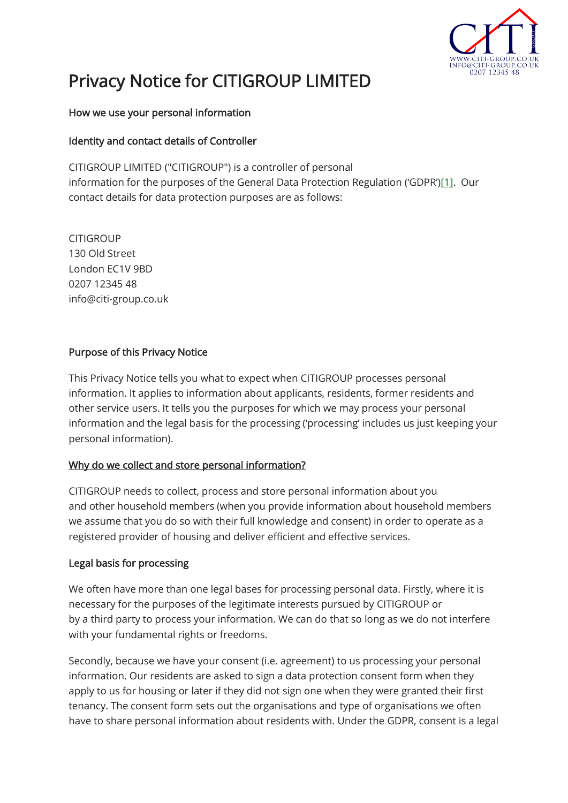

# Privacy Notice for CITIGROUP LIMITED

## How we use your personal information

# Identity and contact details of Controller

CITIGROUP LIMITED ("CITIGROUP") is a controller of personal information for the purposes of the General Data Protection Regulation ('GDPR')[\[1\].](https://www.orwell-housing.co.uk/search/text-content/privacy-notice-2302#_ftn1) Our contact details for data protection purposes are as follows:

**CITIGROUP** 130 Old Street London EC1V 9BD 0207 12345 48 info@citi-group.co.uk

# Purpose of this Privacy Notice

This Privacy Notice tells you what to expect when CITIGROUP processes personal information. It applies to information about applicants, residents, former residents and other service users. It tells you the purposes for which we may process your personal information and the legal basis for the processing ('processing' includes us just keeping your personal information).

## Why do we collect and store personal information?

CITIGROUP needs to collect, process and store personal information about you and other household members (when you provide information about household members we assume that you do so with their full knowledge and consent) in order to operate as a registered provider of housing and deliver efficient and effective services.

## Legal basis for processing

We often have more than one legal bases for processing personal data. Firstly, where it is necessary for the purposes of the legitimate interests pursued by CITIGROUP or by a third party to process your information. We can do that so long as we do not interfere with your fundamental rights or freedoms.

Secondly, because we have your consent (i.e. agreement) to us processing your personal information. Our residents are asked to sign a data protection consent form when they apply to us for housing or later if they did not sign one when they were granted their first tenancy. The consent form sets out the organisations and type of organisations we often have to share personal information about residents with. Under the GDPR, consent is a legal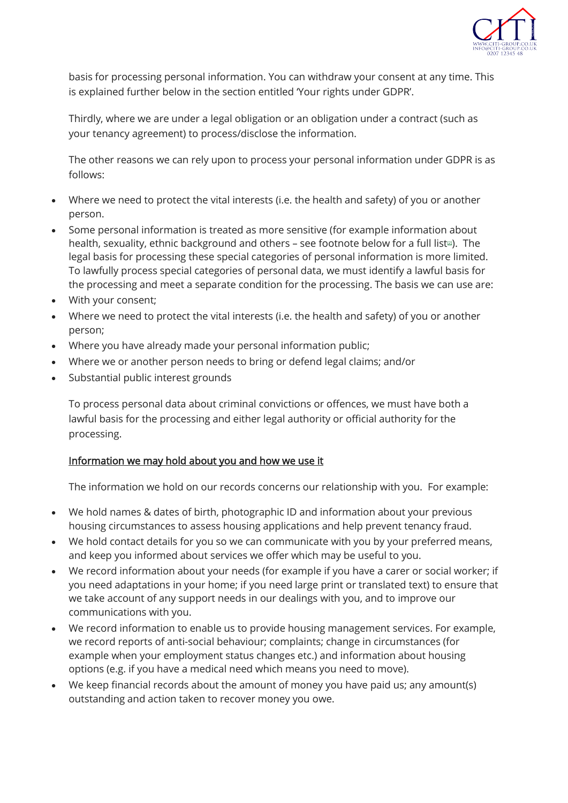

basis for processing personal information. You can withdraw your consent at any time. This is explained further below in the section entitled 'Your rights under GDPR'.

Thirdly, where we are under a legal obligation or an obligation under a contract (such as your tenancy agreement) to process/disclose the information.

The other reasons we can rely upon to process your personal information under GDPR is as follows:

- Where we need to protect the vital interests (i.e. the health and safety) of you or another person.
- Some personal information is treated as more sensitive (for example information about heal[t](https://www.orwell-housing.co.uk/search/text-content/privacy-notice-2302#_ftn2)h, sexuality, ethnic background and others - see footnote below for a full list<sup>[2]</sup>. The legal basis for processing these special categories of personal information is more limited. To lawfully process special categories of personal data, we must identify a lawful basis for the processing and meet a separate condition for the processing. The basis we can use are:
- With your consent;
- Where we need to protect the vital interests (i.e. the health and safety) of you or another person;
- Where you have already made your personal information public;
- Where we or another person needs to bring or defend legal claims; and/or
- Substantial public interest grounds

To process personal data about criminal convictions or offences, we must have both a lawful basis for the processing and either legal authority or official authority for the processing.

## Information we may hold about you and how we use it

The information we hold on our records concerns our relationship with you. For example:

- We hold names & dates of birth, photographic ID and information about your previous housing circumstances to assess housing applications and help prevent tenancy fraud.
- We hold contact details for you so we can communicate with you by your preferred means, and keep you informed about services we offer which may be useful to you.
- We record information about your needs (for example if you have a carer or social worker; if you need adaptations in your home; if you need large print or translated text) to ensure that we take account of any support needs in our dealings with you, and to improve our communications with you.
- We record information to enable us to provide housing management services. For example, we record reports of anti-social behaviour; complaints; change in circumstances (for example when your employment status changes etc.) and information about housing options (e.g. if you have a medical need which means you need to move).
- We keep financial records about the amount of money you have paid us; any amount(s) outstanding and action taken to recover money you owe.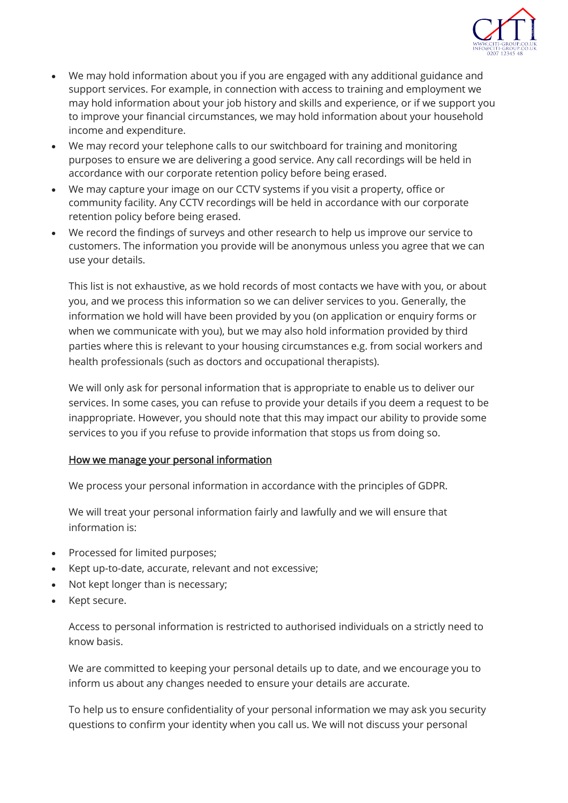

- We may hold information about you if you are engaged with any additional guidance and support services. For example, in connection with access to training and employment we may hold information about your job history and skills and experience, or if we support you to improve your financial circumstances, we may hold information about your household income and expenditure.
- We may record your telephone calls to our switchboard for training and monitoring purposes to ensure we are delivering a good service. Any call recordings will be held in accordance with our corporate retention policy before being erased.
- We may capture your image on our CCTV systems if you visit a property, office or community facility. Any CCTV recordings will be held in accordance with our corporate retention policy before being erased.
- We record the findings of surveys and other research to help us improve our service to customers. The information you provide will be anonymous unless you agree that we can use your details.

This list is not exhaustive, as we hold records of most contacts we have with you, or about you, and we process this information so we can deliver services to you. Generally, the information we hold will have been provided by you (on application or enquiry forms or when we communicate with you), but we may also hold information provided by third parties where this is relevant to your housing circumstances e.g. from social workers and health professionals (such as doctors and occupational therapists).

We will only ask for personal information that is appropriate to enable us to deliver our services. In some cases, you can refuse to provide your details if you deem a request to be inappropriate. However, you should note that this may impact our ability to provide some services to you if you refuse to provide information that stops us from doing so.

## How we manage your personal information

We process your personal information in accordance with the principles of GDPR.

We will treat your personal information fairly and lawfully and we will ensure that information is:

- Processed for limited purposes;
- Kept up-to-date, accurate, relevant and not excessive;
- Not kept longer than is necessary;
- Kept secure.

Access to personal information is restricted to authorised individuals on a strictly need to know basis.

We are committed to keeping your personal details up to date, and we encourage you to inform us about any changes needed to ensure your details are accurate.

To help us to ensure confidentiality of your personal information we may ask you security questions to confirm your identity when you call us. We will not discuss your personal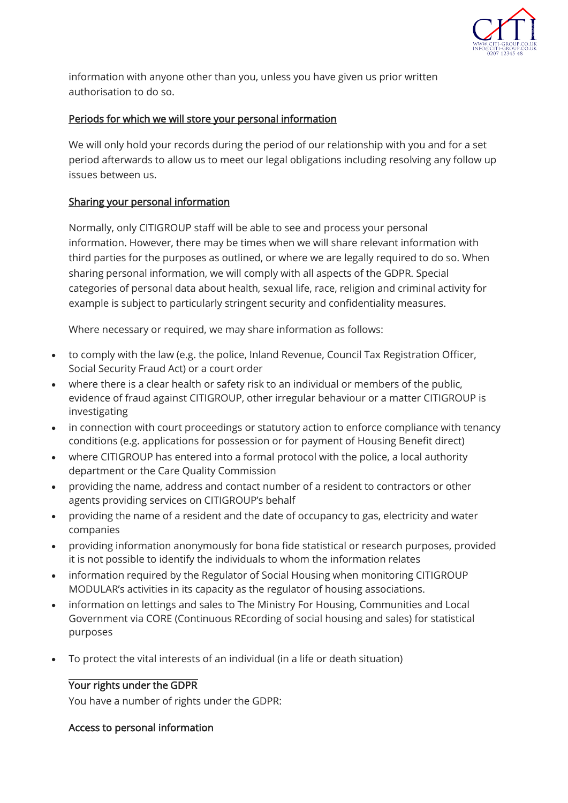

information with anyone other than you, unless you have given us prior written authorisation to do so.

# Periods for which we will store your personal information

We will only hold your records during the period of our relationship with you and for a set period afterwards to allow us to meet our legal obligations including resolving any follow up issues between us.

## Sharing your personal information

Normally, only CITIGROUP staff will be able to see and process your personal information. However, there may be times when we will share relevant information with third parties for the purposes as outlined, or where we are legally required to do so. When sharing personal information, we will comply with all aspects of the GDPR. Special categories of personal data about health, sexual life, race, religion and criminal activity for example is subject to particularly stringent security and confidentiality measures.

Where necessary or required, we may share information as follows:

- to comply with the law (e.g. the police, Inland Revenue, Council Tax Registration Officer, Social Security Fraud Act) or a court order
- where there is a clear health or safety risk to an individual or members of the public, evidence of fraud against CITIGROUP, other irregular behaviour or a matter CITIGROUP is investigating
- in connection with court proceedings or statutory action to enforce compliance with tenancy conditions (e.g. applications for possession or for payment of Housing Benefit direct)
- where CITIGROUP has entered into a formal protocol with the police, a local authority department or the Care Quality Commission
- providing the name, address and contact number of a resident to contractors or other agents providing services on CITIGROUP's behalf
- providing the name of a resident and the date of occupancy to gas, electricity and water companies
- providing information anonymously for bona fide statistical or research purposes, provided it is not possible to identify the individuals to whom the information relates
- information required by the Regulator of Social Housing when monitoring CITIGROUP MODULAR's activities in its capacity as the regulator of housing associations.
- information on lettings and sales to The Ministry For Housing, Communities and Local Government via CORE (Continuous REcording of social housing and sales) for statistical purposes
- To protect the vital interests of an individual (in a life or death situation)

# Your rights under the GDPR

You have a number of rights under the GDPR:

# Access to personal information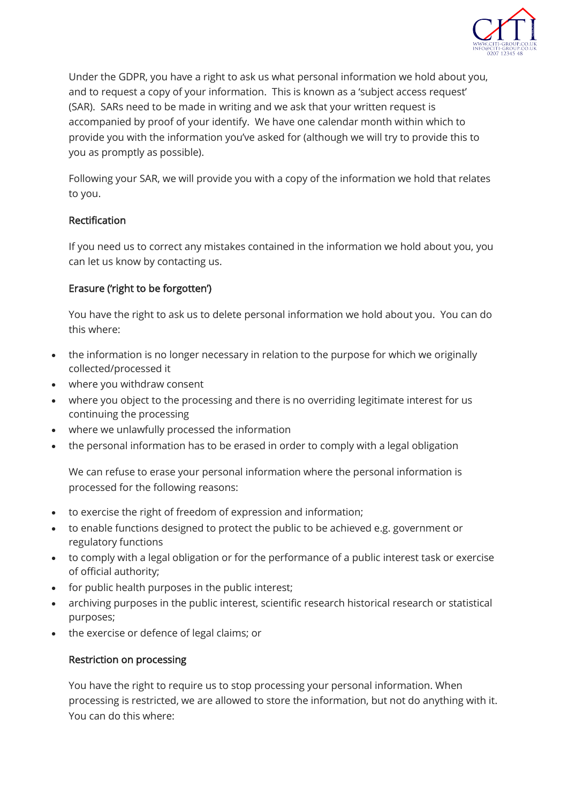

Under the GDPR, you have a right to ask us what personal information we hold about you, and to request a copy of your information. This is known as a 'subject access request' (SAR). SARs need to be made in writing and we ask that your written request is accompanied by proof of your identify. We have one calendar month within which to provide you with the information you've asked for (although we will try to provide this to you as promptly as possible).

Following your SAR, we will provide you with a copy of the information we hold that relates to you.

# Rectification

If you need us to correct any mistakes contained in the information we hold about you, you can let us know by contacting us.

# Erasure ('right to be forgotten')

You have the right to ask us to delete personal information we hold about you. You can do this where:

- the information is no longer necessary in relation to the purpose for which we originally collected/processed it
- where you withdraw consent
- where you object to the processing and there is no overriding legitimate interest for us continuing the processing
- where we unlawfully processed the information
- the personal information has to be erased in order to comply with a legal obligation

We can refuse to erase your personal information where the personal information is processed for the following reasons:

- to exercise the right of freedom of expression and information;
- to enable functions designed to protect the public to be achieved e.g. government or regulatory functions
- to comply with a legal obligation or for the performance of a public interest task or exercise of official authority;
- for public health purposes in the public interest;
- archiving purposes in the public interest, scientific research historical research or statistical purposes;
- the exercise or defence of legal claims; or

## Restriction on processing

You have the right to require us to stop processing your personal information. When processing is restricted, we are allowed to store the information, but not do anything with it. You can do this where: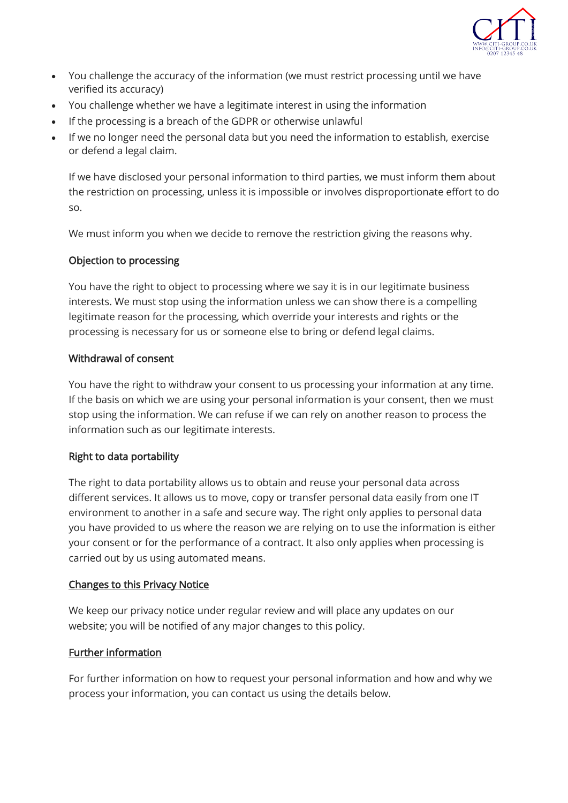

- You challenge the accuracy of the information (we must restrict processing until we have verified its accuracy)
- You challenge whether we have a legitimate interest in using the information
- If the processing is a breach of the GDPR or otherwise unlawful
- If we no longer need the personal data but you need the information to establish, exercise or defend a legal claim.

If we have disclosed your personal information to third parties, we must inform them about the restriction on processing, unless it is impossible or involves disproportionate effort to do so.

We must inform you when we decide to remove the restriction giving the reasons why.

## Objection to processing

You have the right to object to processing where we say it is in our legitimate business interests. We must stop using the information unless we can show there is a compelling legitimate reason for the processing, which override your interests and rights or the processing is necessary for us or someone else to bring or defend legal claims.

#### Withdrawal of consent

You have the right to withdraw your consent to us processing your information at any time. If the basis on which we are using your personal information is your consent, then we must stop using the information. We can refuse if we can rely on another reason to process the information such as our legitimate interests.

## Right to data portability

The right to data portability allows us to obtain and reuse your personal data across different services. It allows us to move, copy or transfer personal data easily from one IT environment to another in a safe and secure way. The right only applies to personal data you have provided to us where the reason we are relying on to use the information is either your consent or for the performance of a contract. It also only applies when processing is carried out by us using automated means.

## Changes to this Privacy Notice

We keep our privacy notice under regular review and will place any updates on our website; you will be notified of any major changes to this policy.

## Further information

For further information on how to request your personal information and how and why we process your information, you can contact us using the details below.